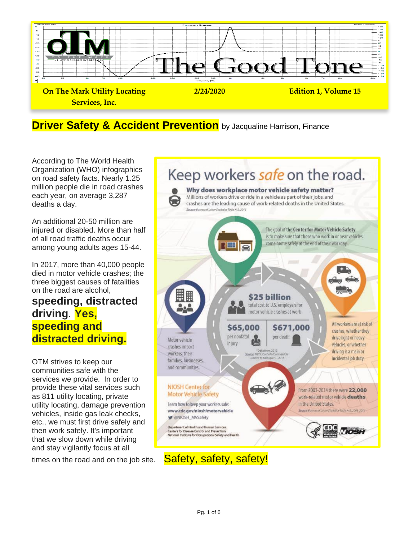

# **Driver Safety & Accident Prevention** by Jacqualine Harrison, Finance

According to The World Health Organization (WHO) infographics on road safety facts. Nearly 1.25 million people die in road crashes each year, on average 3,287 deaths a day.

An additional 20-50 million are injured or disabled. More than half of all road traffic deaths occur among young adults ages 15-44.

In 2017, more than 40,000 people died in motor vehicle crashes; the three biggest causes of fatalities on the road are alcohol,

# **speeding, distracted driving. Yes, speeding and distracted driving.**

OTM strives to keep our communities safe with the services we provide. In order to provide these vital services such as 811 utility locating, private utility locating, damage prevention vehicles, inside gas leak checks, etc., we must first drive safely and then work safely. It's important that we slow down while driving and stay vigilantly focus at all



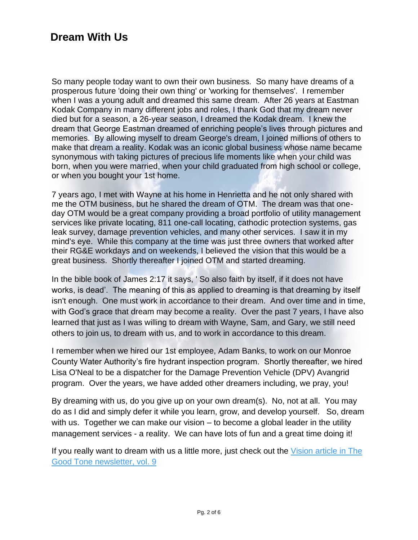# **Dream With Us**

So many people today want to own their own business. So many have dreams of a prosperous future 'doing their own thing' or 'working for themselves'. I remember when I was a young adult and dreamed this same dream. After 26 years at Eastman Kodak Company in many different jobs and roles, I thank God that my dream never died but for a season, a 26-year season, I dreamed the Kodak dream. I knew the dream that George Eastman dreamed of enriching people's lives through pictures and memories. By allowing myself to dream George's dream, I joined millions of others to make that dream a reality. Kodak was an iconic global business whose name became synonymous with taking pictures of precious life moments like when your child was born, when you were married, when your child graduated from high school or college, or when you bought your 1st home.

7 years ago, I met with Wayne at his home in Henrietta and he not only shared with me the OTM business, but he shared the dream of OTM. The dream was that oneday OTM would be a great company providing a broad portfolio of utility management services like private locating, 811 one-call locating, cathodic protection systems, gas leak survey, damage prevention vehicles, and many other services. I saw it in my mind's eye. While this company at the time was just three owners that worked after their RG&E workdays and on weekends, I believed the vision that this would be a great business. Shortly thereafter I joined OTM and started dreaming.

In the bible book of James 2:17 it says, ' So also faith by itself, if it does not have works, is dead'. The meaning of this as applied to dreaming is that dreaming by itself isn't enough. One must work in accordance to their dream. And over time and in time, with God's grace that dream may become a reality. Over the past 7 years, I have also learned that just as I was willing to dream with Wayne, Sam, and Gary, we still need others to join us, to dream with us, and to work in accordance to this dream.

I remember when we hired our 1st employee, Adam Banks, to work on our Monroe County Water Authority's fire hydrant inspection program. Shortly thereafter, we hired Lisa O'Neal to be a dispatcher for the Damage Prevention Vehicle (DPV) Avangrid program. Over the years, we have added other dreamers including, we pray, you!

By dreaming with us, do you give up on your own dream(s). No, not at all. You may do as I did and simply defer it while you learn, grow, and develop yourself. So, dream with us. Together we can make our vision – to become a global leader in the utility management services - a reality. We can have lots of fun and a great time doing it!

If you really want to dream with us a little more, just check out the [Vision article in The](https://12e01c37-f936-62ee-c3b5-d01ce01e03b3.filesusr.com/ugd/4db0aa_9d4174adf28649ad9375ca22b2a0eada.pdf)  [Good Tone newsletter, vol. 9](https://12e01c37-f936-62ee-c3b5-d01ce01e03b3.filesusr.com/ugd/4db0aa_9d4174adf28649ad9375ca22b2a0eada.pdf)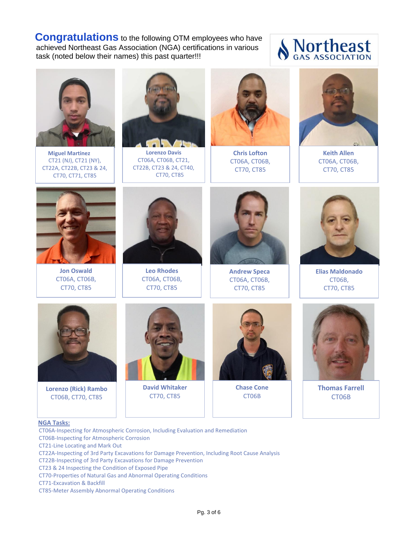**Congratulations** to the following OTM employees who have achieved Northeast Gas Association (NGA) certifications in various task (noted below their names) this past quarter!!!

# **Northeast**



 **Miguel Martinez** CT21 (NJ), CT21 (NY), CT22A, CT22B, CT23 & 24, CT70, CT71, CT85



**Lorenzo Davis** CT06A, CT06B, CT21, CT22B, CT23 & 24, CT40, CT70, CT85



**Chris Lofton** CT06A, CT06B, CT70, CT85



**Keith Allen** CT06A, CT06B, CT70, CT85



**Jon Oswald** CT06A, CT06B, CT70, CT85



**Leo Rhodes** CT06A, CT06B, CT70, CT85



**Andrew Speca** CT06A, CT06B, CT70, CT85



**Elias Maldonado** CT06B, CT70, CT85



**Lorenzo (Rick) Rambo** CT06B, CT70, CT85



**David Whitaker** CT70, CT85



**Chase Cone** CT06B



**Thomas Farrell** CT06B

 **NGA Tasks:**

CT06A-Inspecting for Atmospheric Corrosion, Including Evaluation and Remediation

CT06B-Inspecting for Atmospheric Corrosion

- CT21-Line Locating and Mark Out
- CT22A-Inspecting of 3rd Party Excavations for Damage Prevention, Including Root Cause Analysis
- CT22B-Inspecting of 3rd Party Excavations for Damage Prevention
- CT23 & 24 Inspecting the Condition of Exposed Pipe
- CT70-Properties of Natural Gas and Abnormal Operating Conditions
- CT71-Excavation & Backfill
- CT85-Meter Assembly Abnormal Operating Conditions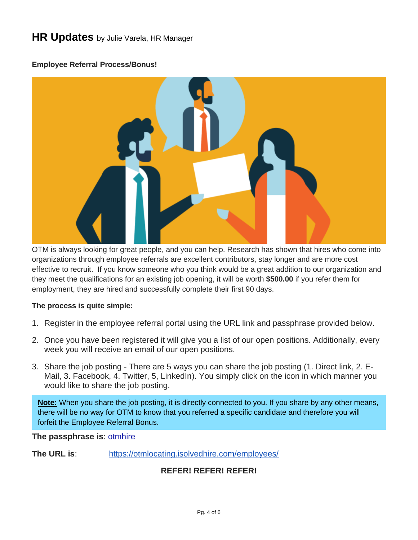## **HR Updates** by Julie Varela, HR Manager

#### **Employee Referral Process/Bonus!**



OTM is always looking for great people, and you can help. Research has shown that hires who come into organizations through employee referrals are excellent contributors, stay longer and are more cost effective to recruit. If you know someone who you think would be a great addition to our organization and they meet the qualifications for an existing job opening, it will be worth **\$500.00** if you refer them for employment, they are hired and successfully complete their first 90 days.

#### **The process is quite simple:**

- 1. Register in the employee referral portal using the URL link and passphrase provided below.
- 2. Once you have been registered it will give you a list of our open positions. Additionally, every week you will receive an email of our open positions.
- 3. Share the job posting There are 5 ways you can share the job posting (1. Direct link, 2. E-Mail, 3. Facebook, 4. Twitter, 5, LinkedIn). You simply click on the icon in which manner you would like to share the job posting.

**Note:** When you share the job posting, it is directly connected to you. If you share by any other means, there will be no way for OTM to know that you referred a specific candidate and therefore you will forfeit the Employee Referral Bonus.

#### **The passphrase is**: otmhire

**The URL is**: <https://otmlocating.isolvedhire.com/employees/>

#### **REFER! REFER! REFER!**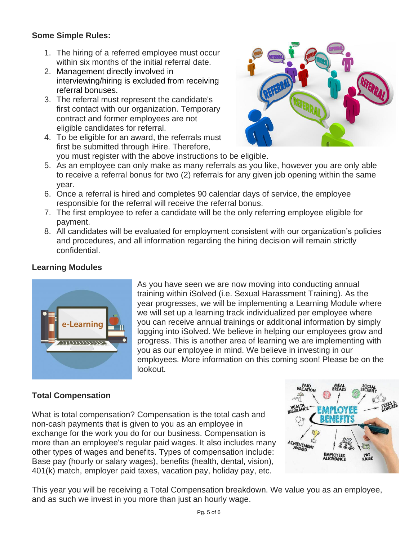#### **Some Simple Rules:**

- 1. The hiring of a referred employee must occur within six months of the initial referral date.
- 2. Management directly involved in interviewing/hiring is excluded from receiving referral bonuses.
- 3. The referral must represent the candidate's first contact with our organization. Temporary contract and former employees are not eligible candidates for referral.
- 4. To be eligible for an award, the referrals must first be submitted through iHire. Therefore,



you must register with the above instructions to be eligible.

- 5. As an employee can only make as many referrals as you like, however you are only able to receive a referral bonus for two (2) referrals for any given job opening within the same year.
- 6. Once a referral is hired and completes 90 calendar days of service, the employee responsible for the referral will receive the referral bonus.
- 7. The first employee to refer a candidate will be the only referring employee eligible for payment.
- 8. All candidates will be evaluated for employment consistent with our organization's policies and procedures, and all information regarding the hiring decision will remain strictly confidential.

#### **Learning Modules**



As you have seen we are now moving into conducting annual training within iSolved (i.e. Sexual Harassment Training). As the year progresses, we will be implementing a Learning Module where we will set up a learning track individualized per employee where you can receive annual trainings or additional information by simply logging into iSolved. We believe in helping our employees grow and progress. This is another area of learning we are implementing with you as our employee in mind. We believe in investing in our employees. More information on this coming soon! Please be on the lookout.

### **Total Compensation**

What is total compensation? Compensation is the total cash and non-cash payments that is given to you as an employee in exchange for the work you do for our business. Compensation is more than an employee's regular paid wages. It also includes many other types of wages and benefits. Types of compensation include: Base pay (hourly or salary wages), benefits (health, dental, vision), 401(k) match, employer paid taxes, vacation pay, holiday pay, etc.



This year you will be receiving a Total Compensation breakdown. We value you as an employee, and as such we invest in you more than just an hourly wage.